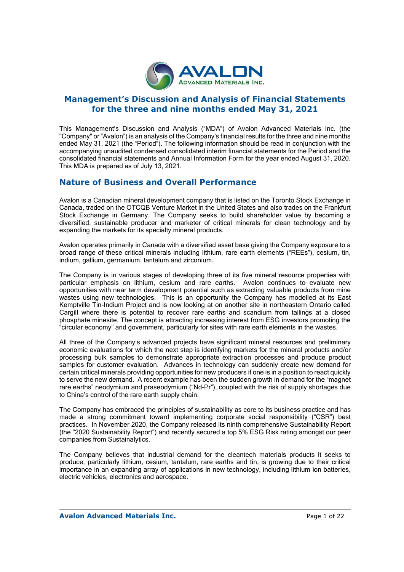

## **Management's Discussion and Analysis of Financial Statements for the three and nine months ended May 31, 2021**

This Management's Discussion and Analysis ("MDA") of Avalon Advanced Materials Inc. (the "Company" or "Avalon") is an analysis of the Company's financial results for the three and nine months ended May 31, 2021 (the "Period"). The following information should be read in conjunction with the accompanying unaudited condensed consolidated interim financial statements for the Period and the consolidated financial statements and Annual Information Form for the year ended August 31, 2020. This MDA is prepared as of July 13, 2021.

## **Nature of Business and Overall Performance**

Avalon is a Canadian mineral development company that is listed on the Toronto Stock Exchange in Canada, traded on the OTCQB Venture Market in the United States and also trades on the Frankfurt Stock Exchange in Germany. The Company seeks to build shareholder value by becoming a diversified, sustainable producer and marketer of critical minerals for clean technology and by expanding the markets for its specialty mineral products.

Avalon operates primarily in Canada with a diversified asset base giving the Company exposure to a broad range of these critical minerals including lithium, rare earth elements ("REEs"), cesium, tin, indium, gallium, germanium, tantalum and zirconium.

The Company is in various stages of developing three of its five mineral resource properties with particular emphasis on lithium, cesium and rare earths. Avalon continues to evaluate new opportunities with near term development potential such as extracting valuable products from mine wastes using new technologies. This is an opportunity the Company has modelled at its East Kemptville Tin-Indium Project and is now looking at on another site in northeastern Ontario called Cargill where there is potential to recover rare earths and scandium from tailings at a closed phosphate minesite. The concept is attracting increasing interest from ESG investors promoting the "circular economy" and government, particularly for sites with rare earth elements in the wastes.

All three of the Company's advanced projects have significant mineral resources and preliminary economic evaluations for which the next step is identifying markets for the mineral products and/or processing bulk samples to demonstrate appropriate extraction processes and produce product samples for customer evaluation. Advances in technology can suddenly create new demand for certain critical minerals providing opportunities for new producers if one is in a position to react quickly to serve the new demand. A recent example has been the sudden growth in demand for the "magnet rare earths" neodymium and praseodymium ("Nd-Pr"), coupled with the risk of supply shortages due to China's control of the rare earth supply chain.

The Company has embraced the principles of sustainability as core to its business practice and has made a strong commitment toward implementing corporate social responsibility ("CSR") best practices. In November 2020, the Company released its ninth comprehensive Sustainability Report (the "2020 Sustainability Report") and recently secured a top 5% ESG Risk rating amongst our peer companies from Sustainalytics.

The Company believes that industrial demand for the cleantech materials products it seeks to produce, particularly lithium, cesium, tantalum, rare earths and tin, is growing due to their critical importance in an expanding array of applications in new technology, including lithium ion batteries, electric vehicles, electronics and aerospace.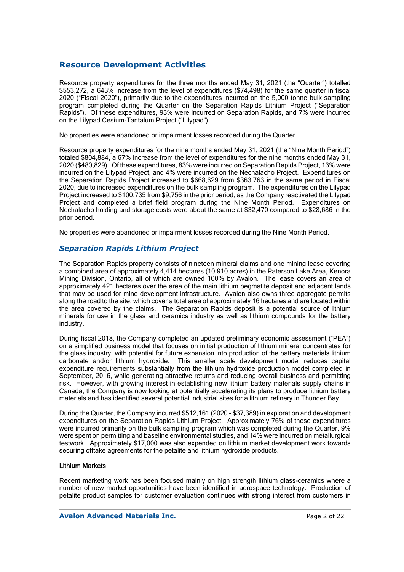## **Resource Development Activities**

Resource property expenditures for the three months ended May 31, 2021 (the "Quarter") totalled \$553,272, a 643% increase from the level of expenditures (\$74,498) for the same quarter in fiscal 2020 ("Fiscal 2020"), primarily due to the expenditures incurred on the 5,000 tonne bulk sampling program completed during the Quarter on the Separation Rapids Lithium Project ("Separation Rapids"). Of these expenditures, 93% were incurred on Separation Rapids, and 7% were incurred on the Lilypad Cesium-Tantalum Project ("Lilypad").

No properties were abandoned or impairment losses recorded during the Quarter.

Resource property expenditures for the nine months ended May 31, 2021 (the "Nine Month Period") totaled \$804,884, a 67% increase from the level of expenditures for the nine months ended May 31, 2020 (\$480,829). Of these expenditures, 83% were incurred on Separation Rapids Project, 13% were incurred on the Lilypad Project, and 4% were incurred on the Nechalacho Project. Expenditures on the Separation Rapids Project increased to \$668,629 from \$363,763 in the same period in Fiscal 2020, due to increased expenditures on the bulk sampling program. The expenditures on the Lilypad Project increased to \$100,735 from \$9,756 in the prior period, as the Company reactivated the Lilypad Project and completed a brief field program during the Nine Month Period. Expenditures on Nechalacho holding and storage costs were about the same at \$32,470 compared to \$28,686 in the prior period.

No properties were abandoned or impairment losses recorded during the Nine Month Period.

### *Separation Rapids Lithium Project*

The Separation Rapids property consists of nineteen mineral claims and one mining lease covering a combined area of approximately 4,414 hectares (10,910 acres) in the Paterson Lake Area, Kenora Mining Division, Ontario, all of which are owned 100% by Avalon. The lease covers an area of approximately 421 hectares over the area of the main lithium pegmatite deposit and adjacent lands that may be used for mine development infrastructure. Avalon also owns three aggregate permits along the road to the site, which cover a total area of approximately 16 hectares and are located within the area covered by the claims. The Separation Rapids deposit is a potential source of lithium minerals for use in the glass and ceramics industry as well as lithium compounds for the battery industry.

During fiscal 2018, the Company completed an updated preliminary economic assessment ("PEA") on a simplified business model that focuses on initial production of lithium mineral concentrates for the glass industry, with potential for future expansion into production of the battery materials lithium carbonate and/or lithium hydroxide. This smaller scale development model reduces capital expenditure requirements substantially from the lithium hydroxide production model completed in September, 2016, while generating attractive returns and reducing overall business and permitting risk. However, with growing interest in establishing new lithium battery materials supply chains in Canada, the Company is now looking at potentially accelerating its plans to produce lithium battery materials and has identified several potential industrial sites for a lithium refinery in Thunder Bay.

During the Quarter, the Company incurred \$512,161 (2020 - \$37,389) in exploration and development expenditures on the Separation Rapids Lithium Project. Approximately 76% of these expenditures were incurred primarily on the bulk sampling program which was completed during the Quarter, 9% were spent on permitting and baseline environmental studies, and 14% were incurred on metallurgical testwork. Approximately \$17,000 was also expended on lithium market development work towards securing offtake agreements for the petalite and lithium hydroxide products.

#### Lithium Markets

Recent marketing work has been focused mainly on high strength lithium glass-ceramics where a number of new market opportunities have been identified in aerospace technology. Production of petalite product samples for customer evaluation continues with strong interest from customers in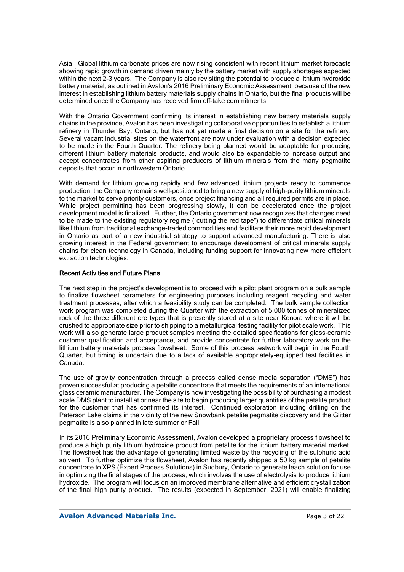Asia. Global lithium carbonate prices are now rising consistent with recent lithium market forecasts showing rapid growth in demand driven mainly by the battery market with supply shortages expected within the next 2-3 years. The Company is also revisiting the potential to produce a lithium hydroxide battery material, as outlined in Avalon's 2016 Preliminary Economic Assessment, because of the new interest in establishing lithium battery materials supply chains in Ontario, but the final products will be determined once the Company has received firm off-take commitments.

With the Ontario Government confirming its interest in establishing new battery materials supply chains in the province, Avalon has been investigating collaborative opportunities to establish a lithium refinery in Thunder Bay, Ontario, but has not yet made a final decision on a site for the refinery. Several vacant industrial sites on the waterfront are now under evaluation with a decision expected to be made in the Fourth Quarter. The refinery being planned would be adaptable for producing different lithium battery materials products, and would also be expandable to increase output and accept concentrates from other aspiring producers of lithium minerals from the many pegmatite deposits that occur in northwestern Ontario.

With demand for lithium growing rapidly and few advanced lithium projects ready to commence production, the Company remains well-positioned to bring a new supply of high-purity lithium minerals to the market to serve priority customers, once project financing and all required permits are in place. While project permitting has been progressing slowly, it can be accelerated once the project development model is finalized. Further, the Ontario government now recognizes that changes need to be made to the existing regulatory regime ("cutting the red tape") to differentiate critical minerals like lithium from traditional exchange-traded commodities and facilitate their more rapid development in Ontario as part of a new industrial strategy to support advanced manufacturing. There is also growing interest in the Federal government to encourage development of critical minerals supply chains for clean technology in Canada, including funding support for innovating new more efficient extraction technologies.

#### Recent Activities and Future Plans

The next step in the project's development is to proceed with a pilot plant program on a bulk sample to finalize flowsheet parameters for engineering purposes including reagent recycling and water treatment processes, after which a feasibility study can be completed. The bulk sample collection work program was completed during the Quarter with the extraction of 5,000 tonnes of mineralized rock of the three different ore types that is presently stored at a site near Kenora where it will be crushed to appropriate size prior to shipping to a metallurgical testing facility for pilot scale work. This work will also generate large product samples meeting the detailed specifications for glass-ceramic customer qualification and acceptance, and provide concentrate for further laboratory work on the lithium battery materials process flowsheet. Some of this process testwork will begin in the Fourth Quarter, but timing is uncertain due to a lack of available appropriately-equipped test facilities in Canada.

The use of gravity concentration through a process called dense media separation ("DMS") has proven successful at producing a petalite concentrate that meets the requirements of an international glass ceramic manufacturer. The Company is now investigating the possibility of purchasing a modest scale DMS plant to install at or near the site to begin producing larger quantities of the petalite product for the customer that has confirmed its interest. Continued exploration including drilling on the Paterson Lake claims in the vicinity of the new Snowbank petalite pegmatite discovery and the Glitter pegmatite is also planned in late summer or Fall.

In its 2016 Preliminary Economic Assessment, Avalon developed a proprietary process flowsheet to produce a high purity lithium hydroxide product from petalite for the lithium battery material market. The flowsheet has the advantage of generating limited waste by the recycling of the sulphuric acid solvent. To further optimize this flowsheet, Avalon has recently shipped a 50 kg sample of petalite concentrate to XPS (Expert Process Solutions) in Sudbury, Ontario to generate leach solution for use in optimizing the final stages of the process, which involves the use of electrolysis to produce lithium hydroxide. The program will focus on an improved membrane alternative and efficient crystallization of the final high purity product. The results (expected in September, 2021) will enable finalizing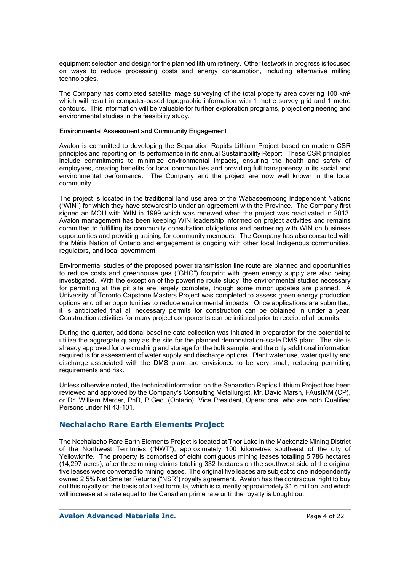equipment selection and design for the planned lithium refinery. Other testwork in progress is focused on ways to reduce processing costs and energy consumption, including alternative milling technologies.

The Company has completed satellite image surveying of the total property area covering 100 km<sup>2</sup> which will result in computer-based topographic information with 1 metre survey grid and 1 metre contours. This information will be valuable for further exploration programs, project engineering and environmental studies in the feasibility study.

#### Environmental Assessment and Community Engagement

Avalon is committed to developing the Separation Rapids Lithium Project based on modern CSR principles and reporting on its performance in its annual Sustainability Report. These CSR principles include commitments to minimize environmental impacts, ensuring the health and safety of employees, creating benefits for local communities and providing full transparency in its social and environmental performance. The Company and the project are now well known in the local community.

The project is located in the traditional land use area of the Wabaseemoong Independent Nations ("WIN") for which they have stewardship under an agreement with the Province. The Company first signed an MOU with WIN in 1999 which was renewed when the project was reactivated in 2013. Avalon management has been keeping WIN leadership informed on project activities and remains committed to fulfilling its community consultation obligations and partnering with WIN on business opportunities and providing training for community members. The Company has also consulted with the Métis Nation of Ontario and engagement is ongoing with other local Indigenous communities, regulators, and local government.

Environmental studies of the proposed power transmission line route are planned and opportunities to reduce costs and greenhouse gas ("GHG") footprint with green energy supply are also being investigated. With the exception of the powerline route study, the environmental studies necessary for permitting at the pit site are largely complete, though some minor updates are planned. A University of Toronto Capstone Masters Project was completed to assess green energy production options and other opportunities to reduce environmental impacts. Once applications are submitted, it is anticipated that all necessary permits for construction can be obtained in under a year. Construction activities for many project components can be initiated prior to receipt of all permits.

During the quarter, additional baseline data collection was initiated in preparation for the potential to utilize the aggregate quarry as the site for the planned demonstration-scale DMS plant. The site is already approved for ore crushing and storage for the bulk sample, and the only additional information required is for assessment of water supply and discharge options. Plant water use, water quality and discharge associated with the DMS plant are envisioned to be very small, reducing permitting requirements and risk.

Unless otherwise noted, the technical information on the Separation Rapids Lithium Project has been reviewed and approved by the Company's Consulting Metallurgist, Mr. David Marsh, FAusIMM (CP), or Dr. William Mercer, PhD, P.Geo. (Ontario), Vice President, Operations, who are both Qualified Persons under NI 43-101.

### **Nechalacho Rare Earth Elements Project**

The Nechalacho Rare Earth Elements Project is located at Thor Lake in the Mackenzie Mining District of the Northwest Territories ("NWT"), approximately 100 kilometres southeast of the city of Yellowknife. The property is comprised of eight contiguous mining leases totalling 5,786 hectares (14,297 acres), after three mining claims totalling 332 hectares on the southwest side of the original five leases were converted to mining leases. The original five leases are subject to one independently owned 2.5% Net Smelter Returns ("NSR") royalty agreement. Avalon has the contractual right to buy out this royalty on the basis of a fixed formula, which is currently approximately \$1.6 million, and which will increase at a rate equal to the Canadian prime rate until the royalty is bought out.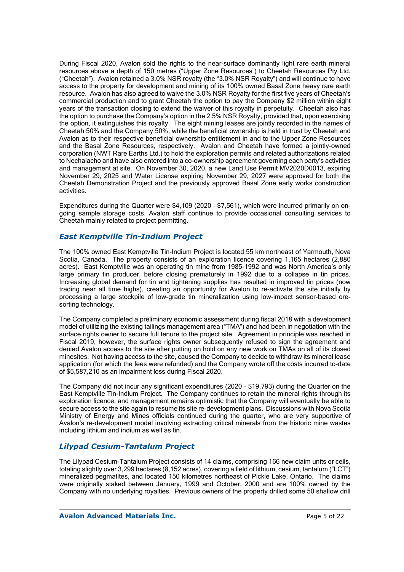During Fiscal 2020, Avalon sold the rights to the near-surface dominantly light rare earth mineral resources above a depth of 150 metres ("Upper Zone Resources") to Cheetah Resources Pty Ltd. ("Cheetah"). Avalon retained a 3.0% NSR royalty (the "3.0% NSR Royalty") and will continue to have access to the property for development and mining of its 100% owned Basal Zone heavy rare earth resource. Avalon has also agreed to waive the 3.0% NSR Royalty for the first five years of Cheetah's commercial production and to grant Cheetah the option to pay the Company \$2 million within eight years of the transaction closing to extend the waiver of this royalty in perpetuity. Cheetah also has the option to purchase the Company's option in the 2.5% NSR Royalty, provided that, upon exercising the option, it extinguishes this royalty. The eight mining leases are jointly recorded in the names of Cheetah 50% and the Company 50%, while the beneficial ownership is held in trust by Cheetah and Avalon as to their respective beneficial ownership entitlement in and to the Upper Zone Resources and the Basal Zone Resources, respectively. Avalon and Cheetah have formed a jointly-owned corporation (NWT Rare Earths Ltd.) to hold the exploration permits and related authorizations related to Nechalacho and have also entered into a co-ownership agreement governing each party's activities and management at site. On November 30, 2020, a new Land Use Permit MV2020D0013, expiring November 29, 2025 and Water License expiring November 29, 2027 were approved for both the Cheetah Demonstration Project and the previously approved Basal Zone early works construction activities.

Expenditures during the Quarter were \$4,109 (2020 – \$7,561), which were incurred primarily on ongoing sample storage costs. Avalon staff continue to provide occasional consulting services to Cheetah mainly related to project permitting.

## *East Kemptville Tin-Indium Project*

The 100% owned East Kemptville Tin-Indium Project is located 55 km northeast of Yarmouth, Nova Scotia, Canada. The property consists of an exploration licence covering 1,165 hectares (2,880 acres). East Kemptville was an operating tin mine from 1985-1992 and was North America's only large primary tin producer, before closing prematurely in 1992 due to a collapse in tin prices. Increasing global demand for tin and tightening supplies has resulted in improved tin prices (now trading near all time highs), creating an opportunity for Avalon to re-activate the site initially by processing a large stockpile of low-grade tin mineralization using low-impact sensor-based oresorting technology.

The Company completed a preliminary economic assessment during fiscal 2018 with a development model of utilizing the existing tailings management area ("TMA") and had been in negotiation with the surface rights owner to secure full tenure to the project site. Agreement in principle was reached in Fiscal 2019, however, the surface rights owner subsequently refused to sign the agreement and denied Avalon access to the site after putting on hold on any new work on TMAs on all of its closed minesites. Not having access to the site, caused the Company to decide to withdraw its mineral lease application (for which the fees were refunded) and the Company wrote off the costs incurred to-date of \$5,587,210 as an impairment loss during Fiscal 2020.

The Company did not incur any significant expenditures (2020 - \$19,793) during the Quarter on the East Kemptville Tin-Indium Project. The Company continues to retain the mineral rights through its exploration licence, and management remains optimistic that the Company will eventually be able to secure access to the site again to resume its site re-development plans. Discussions with Nova Scotia Ministry of Energy and Mines officials continued during the quarter, who are very supportive of Avalon's re-development model involving extracting critical minerals from the historic mine wastes including lithium and indium as well as tin.

### *Lilypad Cesium-Tantalum Project*

The Lilypad Cesium-Tantalum Project consists of 14 claims, comprising 166 new claim units or cells, totaling slightly over 3,299 hectares (8,152 acres), covering a field of lithium, cesium, tantalum ("LCT") mineralized pegmatites, and located 150 kilometres northeast of Pickle Lake, Ontario. The claims were originally staked between January, 1999 and October, 2000 and are 100% owned by the Company with no underlying royalties. Previous owners of the property drilled some 50 shallow drill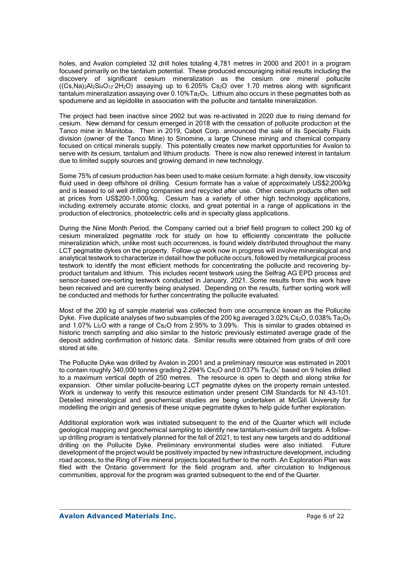holes, and Avalon completed 32 drill holes totaling 4,781 metres in 2000 and 2001 in a program focused primarily on the tantalum potential. These produced encouraging initial results including the discovery of significant cesium mineralization as the cesium ore mineral pollucite  $((Cs,Na)2A/2Si4O122B)$  assaying up to 6.205% Cs<sub>2</sub>O over 1.70 metres along with significant tantalum mineralization assaying over 0.10%Ta<sub>2</sub>O<sub>5</sub>. Lithium also occurs in these pegmatites both as spodumene and as lepidolite in association with the pollucite and tantalite mineralization.

The project had been inactive since 2002 but was re-activated in 2020 due to rising demand for cesium. New demand for cesium emerged in 2018 with the cessation of pollucite production at the Tanco mine in Manitoba. Then in 2019, Cabot Corp. announced the sale of its Specialty Fluids division (owner of the Tanco Mine) to Sinomine, a large Chinese mining and chemical company focused on critical minerals supply. This potentially creates new market opportunities for Avalon to serve with its cesium, tantalum and lithium products. There is now also renewed interest in tantalum due to limited supply sources and growing demand in new technology.

Some 75% of cesium production has been used to make cesium formate: a high density, low viscosity fluid used in deep offshore oil drilling. Cesium formate has a value of approximately US\$2,200/kg and is leased to oil well drilling companies and recycled after use. Other cesium products often sell at prices from US\$200-1,000/kg. Cesium has a variety of other high technology applications, including extremely accurate atomic clocks, and great potential in a range of applications in the production of electronics, photoelectric cells and in specialty glass applications.

During the Nine Month Period, the Company carried out a brief field program to collect 200 kg of cesium mineralized pegmatite rock for study on how to efficiently concentrate the pollucite mineralization which, unlike most such occurrences, is found widely distributed throughout the many LCT pegmatite dykes on the property. Follow-up work now in progress will involve mineralogical and analytical testwork to characterize in detail how the pollucite occurs, followed by metallurgical process testwork to identify the most efficient methods for concentrating the pollucite and recovering byproduct tantalum and lithium. This includes recent testwork using the Selfrag AG EPD process and sensor-based ore-sorting testwork conducted in January, 2021. Some results from this work have been received and are currently being analysed. Depending on the results, further sorting work will be conducted and methods for further concentrating the pollucite evaluated.

Most of the 200 kg of sample material was collected from one occurrence known as the Pollucite Dyke. Five duplicate analyses of two subsamples of the 200 kg averaged  $3.02\%$  Cs<sub>2</sub>O, 0.038% Ta<sub>2</sub>O<sub>5</sub> and 1.07% Li2O with a range of Cs2O from 2.95% to 3.09%. This is similar to grades obtained in historic trench sampling and also similar to the historic previously estimated average grade of the deposit adding confirmation of historic data. Similar results were obtained from grabs of drill core stored at site.

The Pollucite Dyke was drilled by Avalon in 2001 and a preliminary resource was estimated in 2001 to contain roughly 340,000 tonnes grading 2.294% Cs2O and 0.037% Ta2O5\* based on 9 holes drilled to a maximum vertical depth of 250 metres. The resource is open to depth and along strike for expansion. Other similar pollucite-bearing LCT pegmatite dykes on the property remain untested. Work is underway to verify this resource estimation under present CIM Standards for NI 43-101. Detailed mineralogical and geochemical studies are being undertaken at McGill University for modelling the origin and genesis of these unique pegmatite dykes to help guide further exploration.

Additional exploration work was initiated subsequent to the end of the Quarter which will include geological mapping and geochemical sampling to identify new tantalum-cesium drill targets. A followup drilling program is tentatively planned for the fall of 2021, to test any new targets and do additional drilling on the Pollucite Dyke. Preliminary environmental studies were also initiated. Future development of the project would be positively impacted by new infrastructure development, including road access, to the Ring of Fire mineral projects located further to the north. An Exploration Plan was filed with the Ontario government for the field program and, after circulation to Indigenous communities, approval for the program was granted subsequent to the end of the Quarter.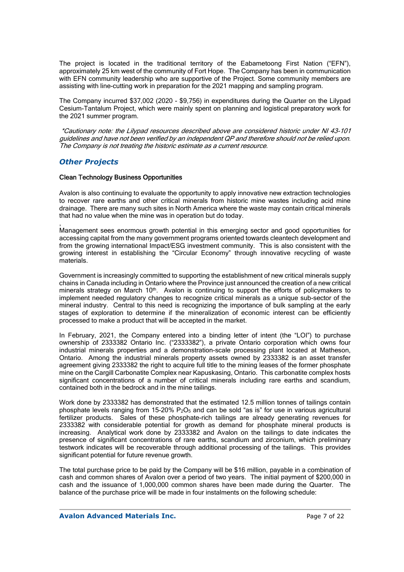The proiect is located in the traditional territory of the Eabametoong First Nation ("EFN"), approximately 25 km west of the community of Fort Hope. The Company has been in communication with EFN community leadership who are supportive of the Project. Some community members are assisting with line-cutting work in preparation for the 2021 mapping and sampling program.

The Company incurred \$37,002 (2020 - \$9,756) in expenditures during the Quarter on the Lilypad Cesium-Tantalum Project, which were mainly spent on planning and logistical preparatory work for the 2021 summer program.

 \*Cautionary note: the Lilypad resources described above are considered historic under NI 43-101 guidelines and have not been verified by an independent QP and therefore should not be relied upon. The Company is not treating the historic estimate as a current resource.

### *Other Projects*

#### Clean Technology Business Opportunities

Avalon is also continuing to evaluate the opportunity to apply innovative new extraction technologies to recover rare earths and other critical minerals from historic mine wastes including acid mine drainage. There are many such sites in North America where the waste may contain critical minerals that had no value when the mine was in operation but do today.

, Management sees enormous growth potential in this emerging sector and good opportunities for accessing capital from the many government programs oriented towards cleantech development and from the growing international Impact/ESG investment community. This is also consistent with the growing interest in establishing the "Circular Economy" through innovative recycling of waste materials.

Government is increasingly committed to supporting the establishment of new critical minerals supply chains in Canada including in Ontario where the Province just announced the creation of a new critical minerals strategy on March 10<sup>th</sup>. Avalon is continuing to support the efforts of policymakers to implement needed regulatory changes to recognize critical minerals as a unique sub-sector of the mineral industry. Central to this need is recognizing the importance of bulk sampling at the early stages of exploration to determine if the mineralization of economic interest can be efficiently processed to make a product that will be accepted in the market.

In February, 2021, the Company entered into a binding letter of intent (the "LOI") to purchase ownership of 2333382 Ontario Inc. ("2333382"), a private Ontario corporation which owns four industrial minerals properties and a demonstration-scale processing plant located at Matheson, Ontario. Among the industrial minerals property assets owned by 2333382 is an asset transfer agreement giving 2333382 the right to acquire full title to the mining leases of the former phosphate mine on the Cargill Carbonatite Complex near Kapuskasing, Ontario. This carbonatite complex hosts significant concentrations of a number of critical minerals including rare earths and scandium, contained both in the bedrock and in the mine tailings.

Work done by 2333382 has demonstrated that the estimated 12.5 million tonnes of tailings contain phosphate levels ranging from 15-20%  $P_2O_5$  and can be sold "as is" for use in various agricultural fertilizer products. Sales of these phosphate-rich tailings are already generating revenues for 2333382 with considerable potential for growth as demand for phosphate mineral products is increasing. Analytical work done by 2333382 and Avalon on the tailings to date indicates the presence of significant concentrations of rare earths, scandium and zirconium, which preliminary testwork indicates will be recoverable through additional processing of the tailings. This provides significant potential for future revenue growth.

The total purchase price to be paid by the Company will be \$16 million, payable in a combination of cash and common shares of Avalon over a period of two years. The initial payment of \$200,000 in cash and the issuance of 1,000,000 common shares have been made during the Quarter. The balance of the purchase price will be made in four instalments on the following schedule: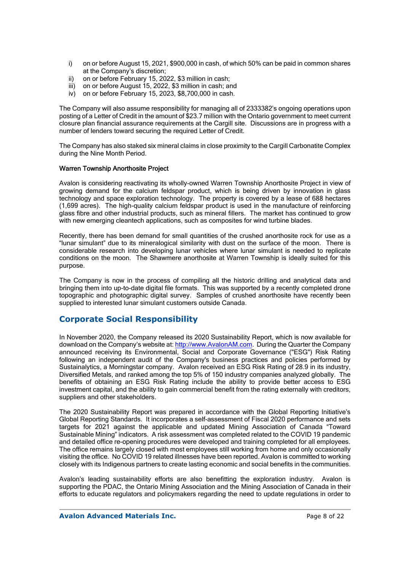- i) on or before August 15, 2021, \$900,000 in cash, of which 50% can be paid in common shares at the Company's discretion;
- ii) on or before February 15, 2022, \$3 million in cash;
- iii) on or before August 15, 2022, \$3 million in cash; and
- iv) on or before February 15, 2023, \$8,700,000 in cash.

The Company will also assume responsibility for managing all of 2333382's ongoing operations upon posting of a Letter of Credit in the amount of \$23.7 million with the Ontario government to meet current closure plan financial assurance requirements at the Cargill site. Discussions are in progress with a number of lenders toward securing the required Letter of Credit.

The Company has also staked six mineral claims in close proximity to the Cargill Carbonatite Complex during the Nine Month Period.

#### Warren Township Anorthosite Project

Avalon is considering reactivating its wholly-owned Warren Township Anorthosite Project in view of growing demand for the calcium feldspar product, which is being driven by innovation in glass technology and space exploration technology. The property is covered by a lease of 688 hectares (1,699 acres). The high-quality calcium feldspar product is used in the manufacture of reinforcing glass fibre and other industrial products, such as mineral fillers. The market has continued to grow with new emerging cleantech applications, such as composites for wind turbine blades.

Recently, there has been demand for small quantities of the crushed anorthosite rock for use as a "lunar simulant" due to its mineralogical similarity with dust on the surface of the moon. There is considerable research into developing lunar vehicles where lunar simulant is needed to replicate conditions on the moon. The Shawmere anorthosite at Warren Township is ideally suited for this purpose.

The Company is now in the process of compiling all the historic drilling and analytical data and bringing them into up-to-date digital file formats. This was supported by a recently completed drone topographic and photographic digital survey. Samples of crushed anorthosite have recently been supplied to interested lunar simulant customers outside Canada.

## **Corporate Social Responsibility**

In November 2020, the Company released its 2020 Sustainability Report, which is now available for download on the Company's website at: http://www.AvalonAM.com. During the Quarter the Company announced receiving its Environmental, Social and Corporate Governance ("ESG") Risk Rating following an independent audit of the Company's business practices and policies performed by Sustainalytics, a Morningstar company. Avalon received an ESG Risk Rating of 28.9 in its industry, Diversified Metals, and ranked among the top 5% of 150 industry companies analyzed globally. The benefits of obtaining an ESG Risk Rating include the ability to provide better access to ESG investment capital, and the ability to gain commercial benefit from the rating externally with creditors, suppliers and other stakeholders.

The 2020 Sustainability Report was prepared in accordance with the Global Reporting Initiative's Global Reporting Standards. It incorporates a self-assessment of Fiscal 2020 performance and sets targets for 2021 against the applicable and updated Mining Association of Canada "Toward Sustainable Mining" indicators. A risk assessment was completed related to the COVID 19 pandemic and detailed office re-opening procedures were developed and training completed for all employees. The office remains largely closed with most employees still working from home and only occasionally visiting the office. No COVID 19 related illnesses have been reported. Avalon is committed to working closely with its Indigenous partners to create lasting economic and social benefits in the communities.

Avalon's leading sustainability efforts are also benefitting the exploration industry. Avalon is supporting the PDAC, the Ontario Mining Association and the Mining Association of Canada in their efforts to educate regulators and policymakers regarding the need to update regulations in order to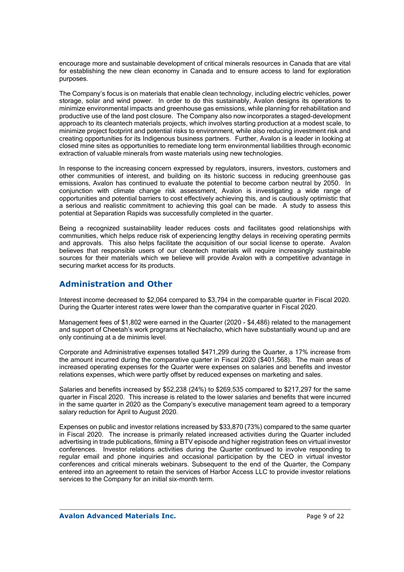encourage more and sustainable development of critical minerals resources in Canada that are vital for establishing the new clean economy in Canada and to ensure access to land for exploration purposes.

The Company's focus is on materials that enable clean technology, including electric vehicles, power storage, solar and wind power. In order to do this sustainably, Avalon designs its operations to minimize environmental impacts and greenhouse gas emissions, while planning for rehabilitation and productive use of the land post closure. The Company also now incorporates a staged-development approach to its cleantech materials projects, which involves starting production at a modest scale, to minimize project footprint and potential risks to environment, while also reducing investment risk and creating opportunities for its Indigenous business partners. Further, Avalon is a leader in looking at closed mine sites as opportunities to remediate long term environmental liabilities through economic extraction of valuable minerals from waste materials using new technologies.

In response to the increasing concern expressed by regulators, insurers, investors, customers and other communities of interest, and building on its historic success in reducing greenhouse gas emissions. Avalon has continued to evaluate the potential to become carbon neutral by 2050. In conjunction with climate change risk assessment, Avalon is investigating a wide range of opportunities and potential barriers to cost effectively achieving this, and is cautiously optimistic that a serious and realistic commitment to achieving this goal can be made. A study to assess this potential at Separation Rapids was successfully completed in the quarter.

Being a recognized sustainability leader reduces costs and facilitates good relationships with communities, which helps reduce risk of experiencing lengthy delays in receiving operating permits and approvals. This also helps facilitate the acquisition of our social license to operate. Avalon believes that responsible users of our cleantech materials will require increasingly sustainable sources for their materials which we believe will provide Avalon with a competitive advantage in securing market access for its products.

## **Administration and Other**

Interest income decreased to \$2,064 compared to \$3,794 in the comparable quarter in Fiscal 2020. During the Quarter interest rates were lower than the comparative quarter in Fiscal 2020.

Management fees of \$1,802 were earned in the Quarter (2020 - \$4,486) related to the management and support of Cheetah's work programs at Nechalacho, which have substantially wound up and are only continuing at a de minimis level.

Corporate and Administrative expenses totalled \$471,299 during the Quarter, a 17% increase from the amount incurred during the comparative quarter in Fiscal 2020 (\$401,568). The main areas of increased operating expenses for the Quarter were expenses on salaries and benefits and investor relations expenses, which were partly offset by reduced expenses on marketing and sales.

Salaries and benefits increased by \$52,238 (24%) to \$269,535 compared to \$217,297 for the same quarter in Fiscal 2020. This increase is related to the lower salaries and benefits that were incurred in the same quarter in 2020 as the Company's executive management team agreed to a temporary salary reduction for April to August 2020.

Expenses on public and investor relations increased by \$33,870 (73%) compared to the same quarter in Fiscal 2020. The increase is primarily related increased activities during the Quarter included advertising in trade publications, filming a BTV episode and higher registration fees on virtual investor conferences. Investor relations activities during the Quarter continued to involve responding to regular email and phone inquiries and occasional participation by the CEO in virtual investor conferences and critical minerals webinars. Subsequent to the end of the Quarter, the Company entered into an agreement to retain the services of Harbor Access LLC to provide investor relations services to the Company for an initial six-month term.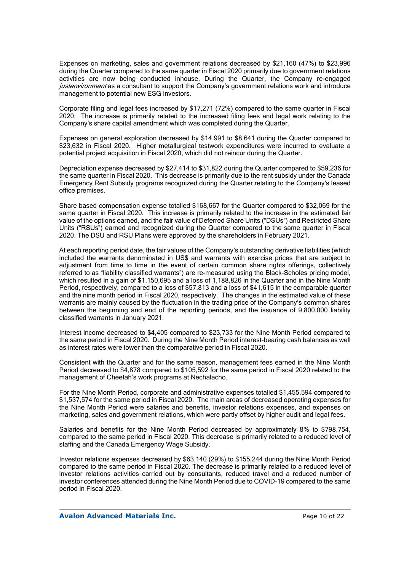Expenses on marketing, sales and government relations decreased by \$21,160 (47%) to \$23,996 during the Quarter compared to the same quarter in Fiscal 2020 primarily due to government relations activities are now being conducted inhouse. During the Quarter, the Company re-engaged justenvironment as a consultant to support the Company's government relations work and introduce management to potential new ESG investors.

Corporate filing and legal fees increased by \$17,271 (72%) compared to the same quarter in Fiscal 2020. The increase is primarily related to the increased filing fees and legal work relating to the Company's share capital amendment which was completed during the Quarter.

Expenses on general exploration decreased by \$14,991 to \$8,641 during the Quarter compared to \$23,632 in Fiscal 2020. Higher metallurgical testwork expenditures were incurred to evaluate a potential project acquisition in Fiscal 2020, which did not reincur during the Quarter.

Depreciation expense decreased by \$27,414 to \$31,822 during the Quarter compared to \$59,236 for the same quarter in Fiscal 2020. This decrease is primarily due to the rent subsidy under the Canada Emergency Rent Subsidy programs recognized during the Quarter relating to the Company's leased office premises.

Share based compensation expense totalled \$168,667 for the Quarter compared to \$32,069 for the same quarter in Fiscal 2020. This increase is primarily related to the increase in the estimated fair value of the options earned, and the fair value of Deferred Share Units ("DSUs") and Restricted Share Units ("RSUs") earned and recognized during the Quarter compared to the same quarter in Fiscal 2020. The DSU and RSU Plans were approved by the shareholders in February 2021.

At each reporting period date, the fair values of the Company's outstanding derivative liabilities (which included the warrants denominated in US\$ and warrants with exercise prices that are subject to adjustment from time to time in the event of certain common share rights offerings, collectively referred to as "liability classified warrants") are re-measured using the Black-Scholes pricing model, which resulted in a gain of \$1,150,695 and a loss of 1,188,826 in the Quarter and in the Nine Month Period, respectively, compared to a loss of \$57,813 and a loss of \$41,615 in the comparable quarter and the nine month period in Fiscal 2020, respectively. The changes in the estimated value of these warrants are mainly caused by the fluctuation in the trading price of the Company's common shares between the beginning and end of the reporting periods, and the issuance of 9,800,000 liability classified warrants in January 2021.

Interest income decreased to \$4,405 compared to \$23,733 for the Nine Month Period compared to the same period in Fiscal 2020. During the Nine Month Period interest-bearing cash balances as well as interest rates were lower than the comparative period in Fiscal 2020.

Consistent with the Quarter and for the same reason, management fees earned in the Nine Month Period decreased to \$4,878 compared to \$105,592 for the same period in Fiscal 2020 related to the management of Cheetah's work programs at Nechalacho.

For the Nine Month Period, corporate and administrative expenses totalled \$1,455,594 compared to \$1,537,574 for the same period in Fiscal 2020. The main areas of decreased operating expenses for the Nine Month Period were salaries and benefits, investor relations expenses, and expenses on marketing, sales and government relations, which were partly offset by higher audit and legal fees.

Salaries and benefits for the Nine Month Period decreased by approximately 8% to \$798,754, compared to the same period in Fiscal 2020. This decrease is primarily related to a reduced level of staffing and the Canada Emergency Wage Subsidy.

Investor relations expenses decreased by \$63,140 (29%) to \$155,244 during the Nine Month Period compared to the same period in Fiscal 2020. The decrease is primarily related to a reduced level of investor relations activities carried out by consultants, reduced travel and a reduced number of investor conferences attended during the Nine Month Period due to COVID-19 compared to the same period in Fiscal 2020.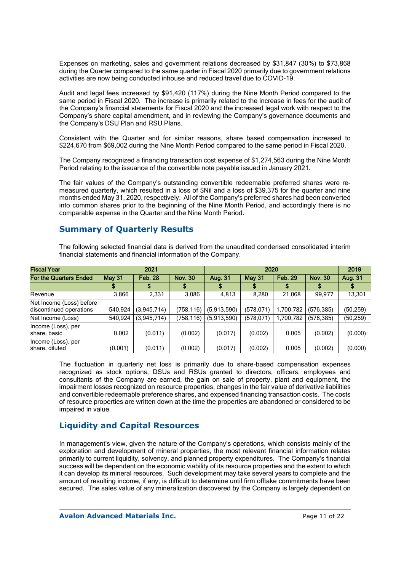Expenses on marketing, sales and government relations decreased by \$31,847 (30%) to \$73,868 during the Quarter compared to the same quarter in Fiscal 2020 primarily due to government relations activities are now being conducted inhouse and reduced travel due to COVID-19.

Audit and legal fees increased by \$91,420 (117%) during the Nine Month Period compared to the same period in Fiscal 2020. The increase is primarily related to the increase in fees for the audit of the Company's financial statements for Fiscal 2020 and the increased legal work with respect to the Company's share capital amendment, and in reviewing the Company's governance documents and the Company's DSU Plan and RSU Plans.

Consistent with the Quarter and for similar reasons, share based compensation increased to \$224,670 from \$69,002 during the Nine Month Period compared to the same period in Fiscal 2020.

The Company recognized a financing transaction cost expense of \$1,274,563 during the Nine Month Period relating to the issuance of the convertible note payable issued in January 2021.

The fair values of the Company's outstanding convertible redeemable preferred shares were remeasured quarterly, which resulted in a loss of \$Nil and a loss of \$39,375 for the quarter and nine months ended May 31, 2020, respectively. All of the Company's preferred shares had been converted into common shares prior to the beginning of the Nine Month Period, and accordingly there is no comparable expense in the Quarter and the Nine Month Period.

## **Summary of Quarterly Results**

The following selected financial data is derived from the unaudited condensed consolidated interim financial statements and financial information of the Company.

| <b>Fiscal Year</b>                                  |                                 | 2021        |                |             | 2019          |                |                |           |
|-----------------------------------------------------|---------------------------------|-------------|----------------|-------------|---------------|----------------|----------------|-----------|
| <b>For the Quarters Ended</b>                       | <b>May 31</b><br><b>Feb. 28</b> |             | <b>Nov. 30</b> | Aug. 31     | <b>May 31</b> | <b>Feb. 29</b> | <b>Nov. 30</b> | Aug. 31   |
|                                                     |                                 |             |                |             |               |                |                |           |
| Revenue                                             | 3,866                           | 2,331       | 3,086          | 4,813       | 8,280         | 21,068         | 99.977         | 13,301    |
| Net Income (Loss) before<br>discontinued operations | 540,924                         | (3,945,714) | (758,116)      | (5,913,590) | (578, 071)    | 1,700,782      | (576, 385)     | (50, 259) |
| Net Income (Loss)                                   | 540,924                         | (3,945,714) | (758, 116)     | (5,913,590) | (578, 071)    | 1,700,782      | (576, 385)     | (50, 259) |
| Income (Loss), per<br>share, basic                  | 0.002                           | (0.011)     | (0.002)        | (0.017)     | (0.002)       | 0.005          | (0.002)        | (0.000)   |
| Income (Loss), per<br>share, diluted                | (0.001)                         | (0.011)     | (0.002)        | (0.017)     | (0.002)       | 0.005          | (0.002)        | (0.000)   |

The fluctuation in quarterly net loss is primarily due to share-based compensation expenses recognized as stock options, DSUs and RSUs granted to directors, officers, employees and consultants of the Company are earned, the gain on sale of property, plant and equipment, the impairment losses recognized on resource properties, changes in the fair value of derivative liabilities and convertible redeemable preference shares, and expensed financing transaction costs. The costs of resource properties are written down at the time the properties are abandoned or considered to be impaired in value.

## **Liquidity and Capital Resources**

In management's view, given the nature of the Company's operations, which consists mainly of the exploration and development of mineral properties, the most relevant financial information relates primarily to current liquidity, solvency, and planned property expenditures. The Company's financial success will be dependent on the economic viability of its resource properties and the extent to which it can develop its mineral resources. Such development may take several years to complete and the amount of resulting income, if any, is difficult to determine until firm offtake commitments have been secured. The sales value of any mineralization discovered by the Company is largely dependent on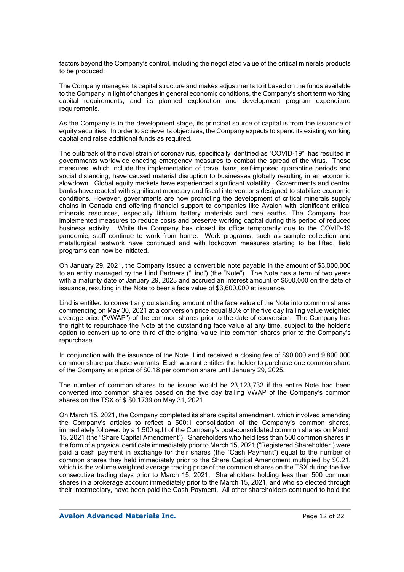factors beyond the Company's control, including the negotiated value of the critical minerals products to be produced.

The Company manages its capital structure and makes adjustments to it based on the funds available to the Company in light of changes in general economic conditions, the Company's short term working capital requirements, and its planned exploration and development program expenditure requirements.

As the Company is in the development stage, its principal source of capital is from the issuance of equity securities. In order to achieve its objectives, the Company expects to spend its existing working capital and raise additional funds as required.

The outbreak of the novel strain of coronavirus, specifically identified as "COVID-19", has resulted in governments worldwide enacting emergency measures to combat the spread of the virus. These measures, which include the implementation of travel bans, self-imposed quarantine periods and social distancing, have caused material disruption to businesses globally resulting in an economic slowdown. Global equity markets have experienced significant volatility. Governments and central banks have reacted with significant monetary and fiscal interventions designed to stabilize economic conditions. However, governments are now promoting the development of critical minerals supply chains in Canada and offering financial support to companies like Avalon with significant critical minerals resources, especially lithium battery materials and rare earths. The Company has implemented measures to reduce costs and preserve working capital during this period of reduced business activity. While the Company has closed its office temporarily due to the COVID-19 pandemic, staff continue to work from home. Work programs, such as sample collection and metallurgical testwork have continued and with lockdown measures starting to be lifted, field programs can now be initiated.

On January 29, 2021, the Company issued a convertible note payable in the amount of \$3,000,000 to an entity managed by the Lind Partners ("Lind") (the "Note"). The Note has a term of two years with a maturity date of January 29, 2023 and accrued an interest amount of \$600,000 on the date of issuance, resulting in the Note to bear a face value of \$3,600,000 at issuance.

Lind is entitled to convert any outstanding amount of the face value of the Note into common shares commencing on May 30, 2021 at a conversion price equal 85% of the five day trailing value weighted average price ("VWAP") of the common shares prior to the date of conversion. The Company has the right to repurchase the Note at the outstanding face value at any time, subject to the holder's option to convert up to one third of the original value into common shares prior to the Company's repurchase.

In conjunction with the issuance of the Note, Lind received a closing fee of \$90,000 and 9,800,000 common share purchase warrants. Each warrant entitles the holder to purchase one common share of the Company at a price of \$0.18 per common share until January 29, 2025.

The number of common shares to be issued would be 23,123,732 if the entire Note had been converted into common shares based on the five day trailing VWAP of the Company's common shares on the TSX of \$ \$0.1739 on May 31, 2021.

On March 15, 2021, the Company completed its share capital amendment, which involved amending the Company's articles to reflect a 500:1 consolidation of the Company's common shares, immediately followed by a 1:500 split of the Company's post-consolidated common shares on March 15, 2021 (the "Share Capital Amendment"). Shareholders who held less than 500 common shares in the form of a physical certificate immediately prior to March 15, 2021 ("Registered Shareholder") were paid a cash payment in exchange for their shares (the "Cash Payment") equal to the number of common shares they held immediately prior to the Share Capital Amendment multiplied by \$0.21, which is the volume weighted average trading price of the common shares on the TSX during the five consecutive trading days prior to March 15, 2021. Shareholders holding less than 500 common shares in a brokerage account immediately prior to the March 15, 2021, and who so elected through their intermediary, have been paid the Cash Payment. All other shareholders continued to hold the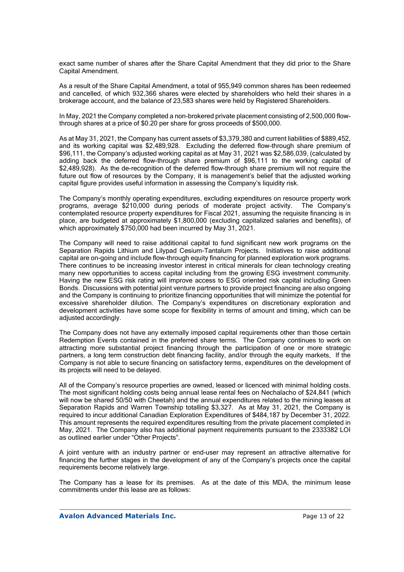exact same number of shares after the Share Capital Amendment that they did prior to the Share Capital Amendment.

As a result of the Share Capital Amendment, a total of 955,949 common shares has been redeemed and cancelled, of which 932,366 shares were elected by shareholders who held their shares in a brokerage account, and the balance of 23,583 shares were held by Registered Shareholders.

In May, 2021 the Company completed a non-brokered private placement consisting of 2,500,000 flowthrough shares at a price of \$0.20 per share for gross proceeds of \$500,000.

As at May 31, 2021, the Company has current assets of \$3,379,380 and current liabilities of \$889,452, and its working capital was \$2,489,928. Excluding the deferred flow-through share premium of \$96,111, the Company's adjusted working capital as at May 31, 2021 was \$2,586,039, (calculated by adding back the deferred flow-through share premium of \$96,111 to the working capital of \$2,489,928). As the de-recognition of the deferred flow-through share premium will not require the future out flow of resources by the Company, it is management's belief that the adjusted working capital figure provides useful information in assessing the Company's liquidity risk.

The Company's monthly operating expenditures, excluding expenditures on resource property work programs, average \$210,000 during periods of moderate project activity. The Company's contemplated resource property expenditures for Fiscal 2021, assuming the requisite financing is in place, are budgeted at approximately \$1,800,000 (excluding capitalized salaries and benefits), of which approximately \$750,000 had been incurred by May 31, 2021.

The Company will need to raise additional capital to fund significant new work programs on the Separation Rapids Lithium and Lilypad Cesium-Tantalum Projects. Initiatives to raise additional capital are on-going and include flow-through equity financing for planned exploration work programs. There continues to be increasing investor interest in critical minerals for clean technology creating many new opportunities to access capital including from the growing ESG investment community. Having the new ESG risk rating will improve access to ESG oriented risk capital including Green Bonds. Discussions with potential joint venture partners to provide project financing are also ongoing and the Company is continuing to prioritize financing opportunities that will minimize the potential for excessive shareholder dilution. The Company's expenditures on discretionary exploration and development activities have some scope for flexibility in terms of amount and timing, which can be adjusted accordingly.

The Company does not have any externally imposed capital requirements other than those certain Redemption Events contained in the preferred share terms. The Company continues to work on attracting more substantial project financing through the participation of one or more strategic partners, a long term construction debt financing facility, and/or through the equity markets. If the Company is not able to secure financing on satisfactory terms, expenditures on the development of its projects will need to be delayed.

All of the Company's resource properties are owned, leased or licenced with minimal holding costs. The most significant holding costs being annual lease rental fees on Nechalacho of \$24,841 (which will now be shared 50/50 with Cheetah) and the annual expenditures related to the mining leases at Separation Rapids and Warren Township totalling \$3,327. As at May 31, 2021, the Company is required to incur additional Canadian Exploration Expenditures of \$484,187 by December 31, 2022. This amount represents the required expenditures resulting from the private placement completed in May, 2021. The Company also has additional payment requirements pursuant to the 2333382 LOI as outlined earlier under "Other Projects".

A joint venture with an industry partner or end-user may represent an attractive alternative for financing the further stages in the development of any of the Company's projects once the capital requirements become relatively large.

The Company has a lease for its premises. As at the date of this MDA, the minimum lease commitments under this lease are as follows: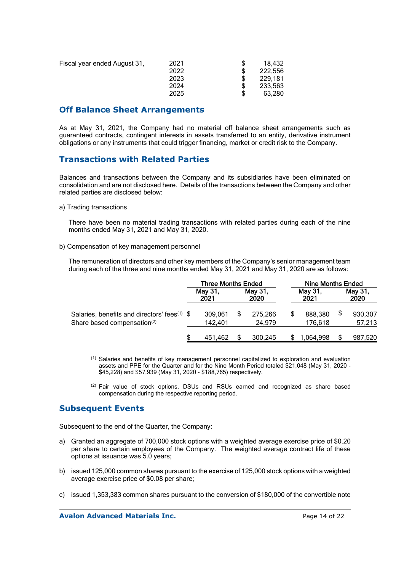| Fiscal year ended August 31, | 2021<br>2022<br>2023<br>2024 | 18.432<br>222.556<br>229.181<br>233.563 |
|------------------------------|------------------------------|-----------------------------------------|
|                              |                              |                                         |
|                              | 2025                         | 63.280                                  |

### **Off Balance Sheet Arrangements**

As at May 31, 2021, the Company had no material off balance sheet arrangements such as guaranteed contracts, contingent interests in assets transferred to an entity, derivative instrument obligations or any instruments that could trigger financing, market or credit risk to the Company.

### **Transactions with Related Parties**

Balances and transactions between the Company and its subsidiaries have been eliminated on consolidation and are not disclosed here. Details of the transactions between the Company and other related parties are disclosed below:

#### a) Trading transactions

There have been no material trading transactions with related parties during each of the nine months ended May 31, 2021 and May 31, 2020.

b) Compensation of key management personnel

The remuneration of directors and other key members of the Company's senior management team during each of the three and nine months ended May 31, 2021 and May 31, 2020 are as follows:

|                                                                                                     | <b>Three Months Ended</b> |  |                   | Nine Months Ended |                 |  |                 |
|-----------------------------------------------------------------------------------------------------|---------------------------|--|-------------------|-------------------|-----------------|--|-----------------|
|                                                                                                     | Mav 31.<br>2021           |  | Mav 31.<br>2020   |                   | May 31,<br>2021 |  | Mav 31.<br>2020 |
| Salaries, benefits and directors' fees <sup>(1)</sup> \$<br>Share based compensation <sup>(2)</sup> | 309,061<br>142.401        |  | 275.266<br>24.979 | \$                | 888,380         |  | 930,307         |
|                                                                                                     |                           |  |                   |                   | 176,618         |  | 57,213          |
|                                                                                                     | 451,462                   |  | 300,245           |                   | 1.064.998       |  | 987,520         |

 $<sup>(1)</sup>$  Salaries and benefits of key management personnel capitalized to exploration and evaluation</sup> assets and PPE for the Quarter and for the Nine Month Period totaled \$21,048 (May 31, 2020 - \$45,228) and \$57,939 (May 31, 2020 - \$188,765) respectively.

 $(2)$  Fair value of stock options, DSUs and RSUs earned and recognized as share based compensation during the respective reporting period.

### **Subsequent Events**

Subsequent to the end of the Quarter, the Company:

- a) Granted an aggregate of 700,000 stock options with a weighted average exercise price of \$0.20 per share to certain employees of the Company. The weighted average contract life of these options at issuance was 5.0 years;
- b) issued 125,000 common shares pursuant to the exercise of 125,000 stock options with a weighted average exercise price of \$0.08 per share;
- c) issued 1,353,383 common shares pursuant to the conversion of \$180,000 of the convertible note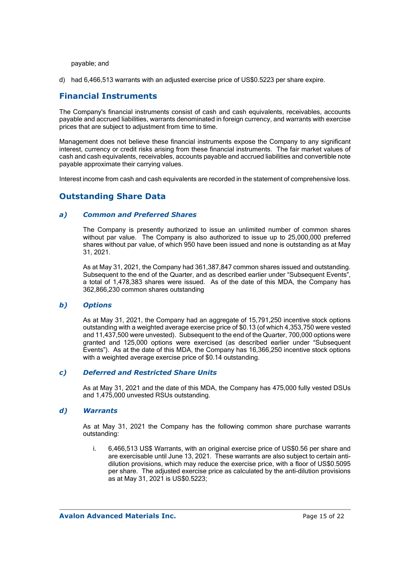payable; and

d) had 6,466,513 warrants with an adjusted exercise price of US\$0.5223 per share expire.

### **Financial Instruments**

The Company's financial instruments consist of cash and cash equivalents, receivables, accounts payable and accrued liabilities, warrants denominated in foreign currency, and warrants with exercise prices that are subject to adjustment from time to time.

Management does not believe these financial instruments expose the Company to any significant interest, currency or credit risks arising from these financial instruments. The fair market values of cash and cash equivalents, receivables, accounts payable and accrued liabilities and convertible note payable approximate their carrying values.

Interest income from cash and cash equivalents are recorded in the statement of comprehensive loss.

## **Outstanding Share Data**

#### *a) Common and Preferred Shares*

The Company is presently authorized to issue an unlimited number of common shares without par value. The Company is also authorized to issue up to 25,000,000 preferred shares without par value, of which 950 have been issued and none is outstanding as at May 31, 2021.

As at May 31, 2021, the Company had 361,387,847 common shares issued and outstanding. Subsequent to the end of the Quarter, and as described earlier under "Subsequent Events", a total of 1,478,383 shares were issued. As of the date of this MDA, the Company has 362,866,230 common shares outstanding

#### *b) Options*

As at May 31, 2021, the Company had an aggregate of 15,791,250 incentive stock options outstanding with a weighted average exercise price of \$0.13 (of which 4,353,750 were vested and 11,437,500 were unvested). Subsequent to the end of the Quarter, 700,000 options were granted and 125,000 options were exercised (as described earlier under "Subsequent Events"). As at the date of this MDA, the Company has 16,366,250 incentive stock options with a weighted average exercise price of \$0.14 outstanding.

#### *c) Deferred and Restricted Share Units*

As at May 31, 2021 and the date of this MDA, the Company has 475,000 fully vested DSUs and 1,475,000 unvested RSUs outstanding.

#### *d) Warrants*

As at May 31, 2021 the Company has the following common share purchase warrants outstanding:

i. 6,466,513 US\$ Warrants, with an original exercise price of US\$0.56 per share and are exercisable until June 13, 2021. These warrants are also subject to certain antidilution provisions, which may reduce the exercise price, with a floor of US\$0.5095 per share. The adjusted exercise price as calculated by the anti-dilution provisions as at May 31, 2021 is US\$0.5223;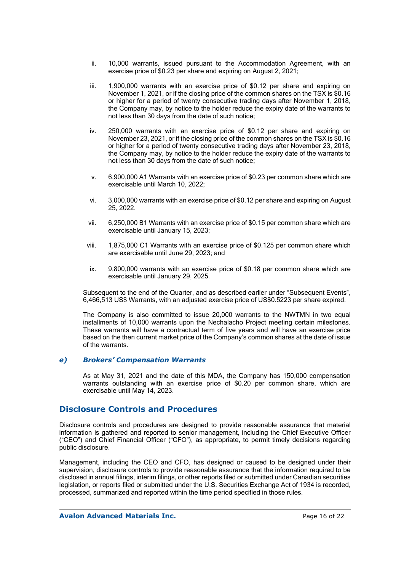- ii. 10,000 warrants, issued pursuant to the Accommodation Agreement, with an exercise price of \$0.23 per share and expiring on August 2, 2021;
- iii. 1,900,000 warrants with an exercise price of \$0.12 per share and expiring on November 1, 2021, or if the closing price of the common shares on the TSX is \$0.16 or higher for a period of twenty consecutive trading days after November 1, 2018, the Company may, by notice to the holder reduce the expiry date of the warrants to not less than 30 days from the date of such notice;
- iv. 250,000 warrants with an exercise price of \$0.12 per share and expiring on November 23, 2021, or if the closing price of the common shares on the TSX is \$0.16 or higher for a period of twenty consecutive trading days after November 23, 2018, the Company may, by notice to the holder reduce the expiry date of the warrants to not less than 30 days from the date of such notice;
- v. 6,900,000 A1 Warrants with an exercise price of \$0.23 per common share which are exercisable until March 10, 2022;
- vi. 3,000,000 warrants with an exercise price of \$0.12 per share and expiring on August 25, 2022.
- vii. 6,250,000 B1 Warrants with an exercise price of \$0.15 per common share which are exercisable until January 15, 2023;
- viii. 1,875,000 C1 Warrants with an exercise price of \$0.125 per common share which are exercisable until June 29, 2023; and
- ix. 9,800,000 warrants with an exercise price of \$0.18 per common share which are exercisable until January 29, 2025.

Subsequent to the end of the Quarter, and as described earlier under "Subsequent Events", 6,466,513 US\$ Warrants, with an adjusted exercise price of US\$0.5223 per share expired.

The Company is also committed to issue 20,000 warrants to the NWTMN in two equal installments of 10,000 warrants upon the Nechalacho Project meeting certain milestones. These warrants will have a contractual term of five years and will have an exercise price based on the then current market price of the Company's common shares at the date of issue of the warrants.

#### *e) Brokers' Compensation Warrants*

As at May 31, 2021 and the date of this MDA, the Company has 150,000 compensation warrants outstanding with an exercise price of \$0.20 per common share, which are exercisable until May 14, 2023.

### **Disclosure Controls and Procedures**

Disclosure controls and procedures are designed to provide reasonable assurance that material information is gathered and reported to senior management, including the Chief Executive Officer ("CEO") and Chief Financial Officer ("CFO"), as appropriate, to permit timely decisions regarding public disclosure.

Management, including the CEO and CFO, has designed or caused to be designed under their supervision, disclosure controls to provide reasonable assurance that the information required to be disclosed in annual filings, interim filings, or other reports filed or submitted under Canadian securities legislation, or reports filed or submitted under the U.S. Securities Exchange Act of 1934 is recorded, processed, summarized and reported within the time period specified in those rules.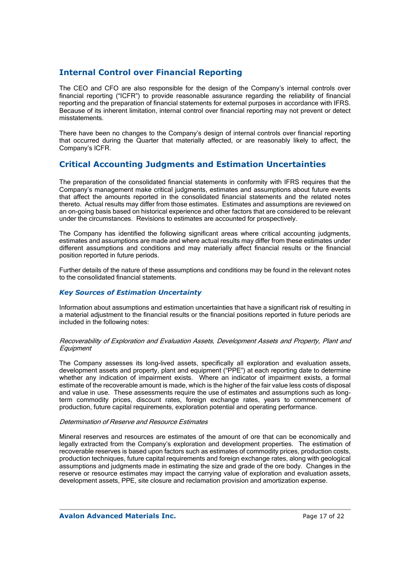## **Internal Control over Financial Reporting**

The CEO and CFO are also responsible for the design of the Company's internal controls over financial reporting ("ICFR") to provide reasonable assurance regarding the reliability of financial reporting and the preparation of financial statements for external purposes in accordance with IFRS. Because of its inherent limitation, internal control over financial reporting may not prevent or detect misstatements.

There have been no changes to the Company's design of internal controls over financial reporting that occurred during the Quarter that materially affected, or are reasonably likely to affect, the Company's ICFR.

## **Critical Accounting Judgments and Estimation Uncertainties**

The preparation of the consolidated financial statements in conformity with IFRS requires that the Company's management make critical judgments, estimates and assumptions about future events that affect the amounts reported in the consolidated financial statements and the related notes thereto. Actual results may differ from those estimates. Estimates and assumptions are reviewed on an on-going basis based on historical experience and other factors that are considered to be relevant under the circumstances. Revisions to estimates are accounted for prospectively.

The Company has identified the following significant areas where critical accounting judgments, estimates and assumptions are made and where actual results may differ from these estimates under different assumptions and conditions and may materially affect financial results or the financial position reported in future periods.

Further details of the nature of these assumptions and conditions may be found in the relevant notes to the consolidated financial statements.

#### *Key Sources of Estimation Uncertainty*

Information about assumptions and estimation uncertainties that have a significant risk of resulting in a material adjustment to the financial results or the financial positions reported in future periods are included in the following notes:

#### Recoverability of Exploration and Evaluation Assets, Development Assets and Property, Plant and **Equipment**

The Company assesses its long-lived assets, specifically all exploration and evaluation assets, development assets and property, plant and equipment ("PPE") at each reporting date to determine whether any indication of impairment exists. Where an indicator of impairment exists, a formal estimate of the recoverable amount is made, which is the higher of the fair value less costs of disposal and value in use. These assessments require the use of estimates and assumptions such as longterm commodity prices, discount rates, foreign exchange rates, years to commencement of production, future capital requirements, exploration potential and operating performance.

#### Determination of Reserve and Resource Estimates

Mineral reserves and resources are estimates of the amount of ore that can be economically and legally extracted from the Company's exploration and development properties. The estimation of recoverable reserves is based upon factors such as estimates of commodity prices, production costs, production techniques, future capital requirements and foreign exchange rates, along with geological assumptions and judgments made in estimating the size and grade of the ore body. Changes in the reserve or resource estimates may impact the carrying value of exploration and evaluation assets, development assets, PPE, site closure and reclamation provision and amortization expense.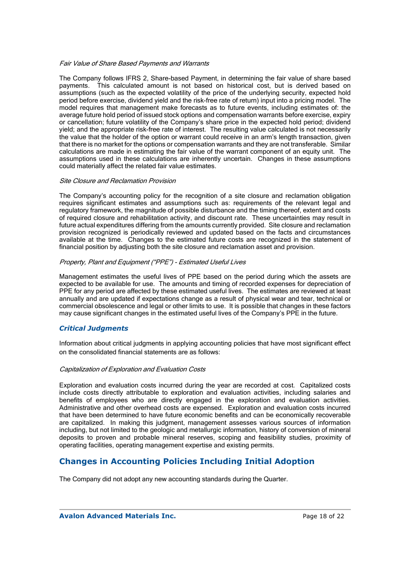#### Fair Value of Share Based Payments and Warrants

The Company follows IFRS 2, Share-based Payment, in determining the fair value of share based payments. This calculated amount is not based on historical cost, but is derived based on assumptions (such as the expected volatility of the price of the underlying security, expected hold period before exercise, dividend yield and the risk-free rate of return) input into a pricing model. The model requires that management make forecasts as to future events, including estimates of: the average future hold period of issued stock options and compensation warrants before exercise, expiry or cancellation; future volatility of the Company's share price in the expected hold period; dividend yield; and the appropriate risk-free rate of interest. The resulting value calculated is not necessarily the value that the holder of the option or warrant could receive in an arm's length transaction, given that there is no market for the options or compensation warrants and they are not transferable. Similar calculations are made in estimating the fair value of the warrant component of an equity unit. The assumptions used in these calculations are inherently uncertain. Changes in these assumptions could materially affect the related fair value estimates.

#### Site Closure and Reclamation Provision

The Company's accounting policy for the recognition of a site closure and reclamation obligation requires significant estimates and assumptions such as: requirements of the relevant legal and regulatory framework, the magnitude of possible disturbance and the timing thereof, extent and costs of required closure and rehabilitation activity, and discount rate. These uncertainties may result in future actual expenditures differing from the amounts currently provided. Site closure and reclamation provision recognized is periodically reviewed and updated based on the facts and circumstances available at the time. Changes to the estimated future costs are recognized in the statement of financial position by adjusting both the site closure and reclamation asset and provision.

#### Property, Plant and Equipment ("PPE") - Estimated Useful Lives

Management estimates the useful lives of PPE based on the period during which the assets are expected to be available for use. The amounts and timing of recorded expenses for depreciation of PPE for any period are affected by these estimated useful lives. The estimates are reviewed at least annually and are updated if expectations change as a result of physical wear and tear, technical or commercial obsolescence and legal or other limits to use. It is possible that changes in these factors may cause significant changes in the estimated useful lives of the Company's PPE in the future.

#### *Critical Judgments*

Information about critical judgments in applying accounting policies that have most significant effect on the consolidated financial statements are as follows:

#### Capitalization of Exploration and Evaluation Costs

Exploration and evaluation costs incurred during the year are recorded at cost. Capitalized costs include costs directly attributable to exploration and evaluation activities, including salaries and benefits of employees who are directly engaged in the exploration and evaluation activities. Administrative and other overhead costs are expensed. Exploration and evaluation costs incurred that have been determined to have future economic benefits and can be economically recoverable are capitalized. In making this judgment, management assesses various sources of information including, but not limited to the geologic and metallurgic information, history of conversion of mineral deposits to proven and probable mineral reserves, scoping and feasibility studies, proximity of operating facilities, operating management expertise and existing permits.

## **Changes in Accounting Policies Including Initial Adoption**

The Company did not adopt any new accounting standards during the Quarter.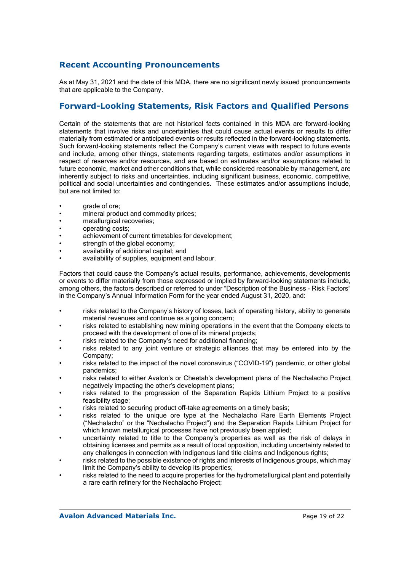## **Recent Accounting Pronouncements**

As at May 31, 2021 and the date of this MDA, there are no significant newly issued pronouncements that are applicable to the Company.

## **Forward-Looking Statements, Risk Factors and Qualified Persons**

Certain of the statements that are not historical facts contained in this MDA are forward-looking statements that involve risks and uncertainties that could cause actual events or results to differ materially from estimated or anticipated events or results reflected in the forward-looking statements. Such forward-looking statements reflect the Company's current views with respect to future events and include, among other things, statements regarding targets, estimates and/or assumptions in respect of reserves and/or resources, and are based on estimates and/or assumptions related to future economic, market and other conditions that, while considered reasonable by management, are inherently subject to risks and uncertainties, including significant business, economic, competitive, political and social uncertainties and contingencies. These estimates and/or assumptions include, but are not limited to:

- grade of ore;
- mineral product and commodity prices;
- metallurgical recoveries:
- operating costs;
- achievement of current timetables for development;
- strength of the global economy:
- availability of additional capital; and
- availability of supplies, equipment and labour.

Factors that could cause the Company's actual results, performance, achievements, developments or events to differ materially from those expressed or implied by forward-looking statements include, among others, the factors described or referred to under "Description of the Business - Risk Factors" in the Company's Annual Information Form for the year ended August 31, 2020, and:

- risks related to the Company's history of losses, lack of operating history, ability to generate material revenues and continue as a going concern;
- risks related to establishing new mining operations in the event that the Company elects to proceed with the development of one of its mineral projects;
- risks related to the Company's need for additional financing;
- risks related to any joint venture or strategic alliances that may be entered into by the Company;
- risks related to the impact of the novel coronavirus ("COVID-19") pandemic, or other global pandemics;
- risks related to either Avalon's or Cheetah's development plans of the Nechalacho Project negatively impacting the other's development plans;
- risks related to the progression of the Separation Rapids Lithium Project to a positive feasibility stage:
- risks related to securing product off-take agreements on a timely basis;
- risks related to the unique ore type at the Nechalacho Rare Earth Elements Project ("Nechalacho" or the "Nechalacho Project") and the Separation Rapids Lithium Project for which known metallurgical processes have not previously been applied;
- uncertainty related to title to the Company's properties as well as the risk of delays in obtaining licenses and permits as a result of local opposition, including uncertainty related to any challenges in connection with Indigenous land title claims and Indigenous rights;
- risks related to the possible existence of rights and interests of Indigenous groups, which may limit the Company's ability to develop its properties;
- risks related to the need to acquire properties for the hydrometallurgical plant and potentially a rare earth refinery for the Nechalacho Project;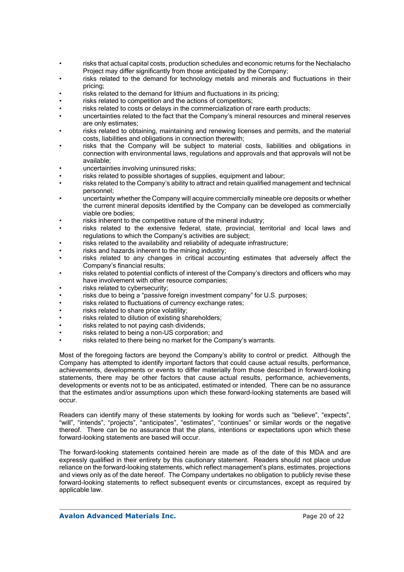- risks that actual capital costs, production schedules and economic returns for the Nechalacho Project may differ significantly from those anticipated by the Company;
- risks related to the demand for technology metals and minerals and fluctuations in their pricing;
- risks related to the demand for lithium and fluctuations in its pricing;
- risks related to competition and the actions of competitors;
- risks related to costs or delays in the commercialization of rare earth products;
- uncertainties related to the fact that the Company's mineral resources and mineral reserves are only estimates;
- risks related to obtaining, maintaining and renewing licenses and permits, and the material costs, liabilities and obligations in connection therewith;
- risks that the Company will be subject to material costs, liabilities and obligations in connection with environmental laws, regulations and approvals and that approvals will not be available;
- uncertainties involving uninsured risks;
- risks related to possible shortages of supplies, equipment and labour;
- risks related to the Company's ability to attract and retain qualified management and technical personnel;
- uncertainty whether the Company will acquire commercially mineable ore deposits or whether the current mineral deposits identified by the Company can be developed as commercially viable ore bodies;
- risks inherent to the competitive nature of the mineral industry;
- risks related to the extensive federal, state, provincial, territorial and local laws and regulations to which the Company's activities are subject;
- risks related to the availability and reliability of adequate infrastructure;
- risks and hazards inherent to the mining industry;
- risks related to any changes in critical accounting estimates that adversely affect the Company's financial results;
- risks related to potential conflicts of interest of the Company's directors and officers who may have involvement with other resource companies;
- risks related to cybersecurity:
- risks due to being a "passive foreign investment company" for U.S. purposes;
- risks related to fluctuations of currency exchange rates;
- risks related to share price volatility;
- risks related to dilution of existing shareholders;
- risks related to not paying cash dividends:
- risks related to being a non-US corporation; and
- risks related to there being no market for the Company's warrants.

Most of the foregoing factors are beyond the Company's ability to control or predict. Although the Company has attempted to identify important factors that could cause actual results, performance, achievements, developments or events to differ materially from those described in forward-looking statements, there may be other factors that cause actual results, performance, achievements, developments or events not to be as anticipated, estimated or intended. There can be no assurance that the estimates and/or assumptions upon which these forward-looking statements are based will occur.

Readers can identify many of these statements by looking for words such as "believe", "expects", "will", "intends", "projects", "anticipates", "estimates", "continues" or similar words or the negative thereof. There can be no assurance that the plans, intentions or expectations upon which these forward-looking statements are based will occur.

The forward-looking statements contained herein are made as of the date of this MDA and are expressly qualified in their entirety by this cautionary statement. Readers should not place undue reliance on the forward-looking statements, which reflect management's plans, estimates, projections and views only as of the date hereof. The Company undertakes no obligation to publicly revise these forward-looking statements to reflect subsequent events or circumstances, except as required by applicable law.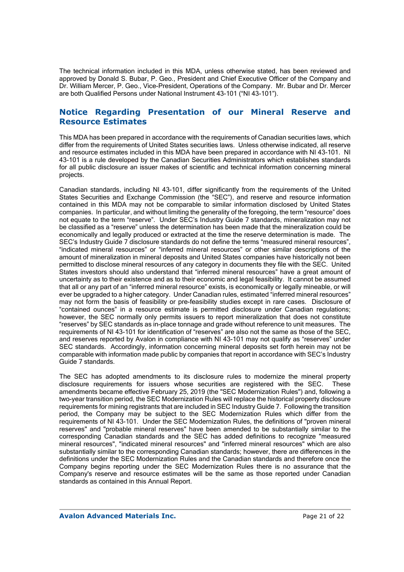The technical information included in this MDA, unless otherwise stated, has been reviewed and approved by Donald S. Bubar, P. Geo., President and Chief Executive Officer of the Company and Dr. William Mercer, P. Geo., Vice-President, Operations of the Company. Mr. Bubar and Dr. Mercer are both Qualified Persons under National Instrument 43-101 ("NI 43-101").

## **Notice Regarding Presentation of our Mineral Reserve and Resource Estimates**

This MDA has been prepared in accordance with the requirements of Canadian securities laws, which differ from the requirements of United States securities laws. Unless otherwise indicated, all reserve and resource estimates included in this MDA have been prepared in accordance with NI 43-101. NI 43-101 is a rule developed by the Canadian Securities Administrators which establishes standards for all public disclosure an issuer makes of scientific and technical information concerning mineral projects.

Canadian standards, including NI 43-101, differ significantly from the requirements of the United States Securities and Exchange Commission (the "SEC"), and reserve and resource information contained in this MDA may not be comparable to similar information disclosed by United States companies. In particular, and without limiting the generality of the foregoing, the term "resource" does not equate to the term "reserve". Under SEC's Industry Guide 7 standards, mineralization may not be classified as a "reserve" unless the determination has been made that the mineralization could be economically and legally produced or extracted at the time the reserve determination is made. The SEC's Industry Guide 7 disclosure standards do not define the terms "measured mineral resources", "indicated mineral resources" or "inferred mineral resources" or other similar descriptions of the amount of mineralization in mineral deposits and United States companies have historically not been permitted to disclose mineral resources of any category in documents they file with the SEC. United States investors should also understand that "inferred mineral resources" have a great amount of uncertainty as to their existence and as to their economic and legal feasibility. It cannot be assumed that all or any part of an "inferred mineral resource" exists, is economically or legally mineable, or will ever be upgraded to a higher category. Under Canadian rules, estimated "inferred mineral resources" may not form the basis of feasibility or pre-feasibility studies except in rare cases. Disclosure of "contained ounces" in a resource estimate is permitted disclosure under Canadian regulations; however, the SEC normally only permits issuers to report mineralization that does not constitute "reserves" by SEC standards as in-place tonnage and grade without reference to unit measures. The requirements of NI 43-101 for identification of "reserves" are also not the same as those of the SEC, and reserves reported by Avalon in compliance with NI 43-101 may not qualify as "reserves" under SEC standards. Accordingly, information concerning mineral deposits set forth herein may not be comparable with information made public by companies that report in accordance with SEC's Industry Guide 7 standards.

The SEC has adopted amendments to its disclosure rules to modernize the mineral property disclosure requirements for issuers whose securities are registered with the SEC. These amendments became effective February 25, 2019 (the "SEC Modernization Rules") and, following a two-year transition period, the SEC Modernization Rules will replace the historical property disclosure requirements for mining registrants that are included in SEC Industry Guide 7. Following the transition period, the Company may be subject to the SEC Modernization Rules which differ from the requirements of NI 43-101. Under the SEC Modernization Rules, the definitions of "proven mineral reserves" and "probable mineral reserves" have been amended to be substantially similar to the corresponding Canadian standards and the SEC has added definitions to recognize "measured mineral resources", "indicated mineral resources" and "inferred mineral resources" which are also substantially similar to the corresponding Canadian standards; however, there are differences in the definitions under the SEC Modernization Rules and the Canadian standards and therefore once the Company begins reporting under the SEC Modernization Rules there is no assurance that the Company's reserve and resource estimates will be the same as those reported under Canadian standards as contained in this Annual Report.